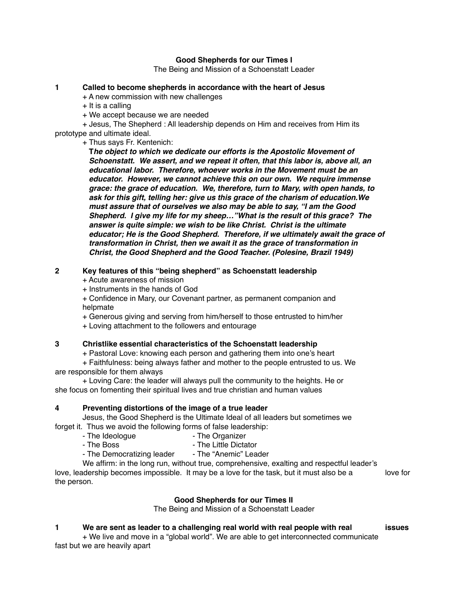## **Good Shepherds for our Times I**

The Being and Mission of a Schoenstatt Leader

## **1 Called to become shepherds in accordance with the heart of Jesus**

+ A new commission with new challenges

 $+$  It is a calling

+ We accept because we are needed

+ Jesus, The Shepherd : All leadership depends on Him and receives from Him its prototype and ultimate ideal.

+ Thus says Fr. Kentenich:

 **T***he object to which we dedicate our efforts is the Apostolic Movement of Schoenstatt. We assert, and we repeat it often, that this labor is, above all, an educational labor. Therefore, whoever works in the Movement must be an educator. However, we cannot achieve this on our own. We require immense grace: the grace of education. We, therefore, turn to Mary, with open hands, to ask for this gift, telling her: give us this grace of the charism of education.We must assure that of ourselves we also may be able to say, "I am the Good Shepherd. I give my life for my sheep…"What is the result of this grace? The answer is quite simple: we wish to be like Christ. Christ is the ultimate educator; He is the Good Shepherd. Therefore, if we ultimately await the grace of transformation in Christ, then we await it as the grace of transformation in Christ, the Good Shepherd and the Good Teacher. (Polesine, Brazil 1949)*

# **2 Key features of this "being shepherd" as Schoenstatt leadership**

+ Acute awareness of mission

+ Instruments in the hands of God

+ Confidence in Mary, our Covenant partner, as permanent companion and helpmate

+ Generous giving and serving from him/herself to those entrusted to him/her

+ Loving attachment to the followers and entourage

#### **3 Christlike essential characteristics of the Schoenstatt leadership**

+ Pastoral Love: knowing each person and gathering them into one's heart

+ Faithfulness: being always father and mother to the people entrusted to us. We are responsible for them always

+ Loving Care: the leader will always pull the community to the heights. He or she focus on fomenting their spiritual lives and true christian and human values

# **4 Preventing distortions of the image of a true leader**

Jesus, the Good Shepherd is the Ultimate Ideal of all leaders but sometimes we forget it. Thus we avoid the following forms of false leadership:

- The Ideologue  **The Organizer** 
	-

- The Boss - The Little Dictator<br>- The Democratizing leader - The "Anemic" Leader - The Democratizing leader

We affirm: in the long run, without true, comprehensive, exalting and respectful leader's love, leadership becomes impossible. It may be a love for the task, but it must also be a love for the person.

#### **Good Shepherds for our Times II**

The Being and Mission of a Schoenstatt Leader

## **1 We are sent as leader to a challenging real world with real people with real issues**

+ We live and move in a "global world". We are able to get interconnected communicate fast but we are heavily apart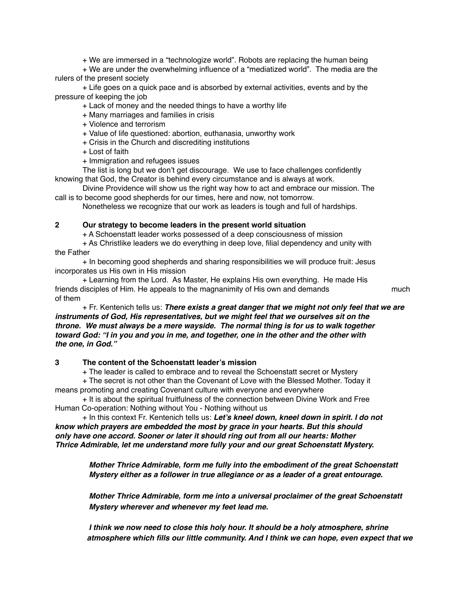+ We are immersed in a "technologize world". Robots are replacing the human being

+ We are under the overwhelming influence of a "mediatized world". The media are the rulers of the present society

+ Life goes on a quick pace and is absorbed by external activities, events and by the pressure of keeping the job

+ Lack of money and the needed things to have a worthy life

- + Many marriages and families in crisis
- + Violence and terrorism
- + Value of life questioned: abortion, euthanasia, unworthy work
- + Crisis in the Church and discrediting institutions
- + Lost of faith
- + Immigration and refugees issues

The list is long but we don't get discourage. We use to face challenges confidently knowing that God, the Creator is behind every circumstance and is always at work.

Divine Providence will show us the right way how to act and embrace our mission. The call is to become good shepherds for our times, here and now, not tomorrow.

Nonetheless we recognize that our work as leaders is tough and full of hardships.

#### **2 Our strategy to become leaders in the present world situation**

+ A Schoenstatt leader works possessed of a deep consciousness of mission

+ As Christlike leaders we do everything in deep love, filial dependency and unity with the Father

+ In becoming good shepherds and sharing responsibilities we will produce fruit: Jesus incorporates us His own in His mission

+ Learning from the Lord. As Master, He explains His own everything. He made His friends disciples of Him. He appeals to the magnanimity of His own and demands much of them

+ Fr. Kentenich tells us: *There exists a great danger that we might not only feel that we are instruments of God, His representatives, but we might feel that we ourselves sit on the throne. We must always be a mere wayside. The normal thing is for us to walk together toward God: "I in you and you in me, and together, one in the other and the other with the one, in God."* 

## **3 The content of the Schoenstatt leader's mission**

+ The leader is called to embrace and to reveal the Schoenstatt secret or Mystery

+ The secret is not other than the Covenant of Love with the Blessed Mother. Today it means promoting and creating Covenant culture with everyone and everywhere

+ It is about the spiritual fruitfulness of the connection between Divine Work and Free Human Co-operation: Nothing without You - Nothing without us

+ In this context Fr. Kentenich tells us: *Let's kneel down, kneel down in spirit. I do not know which prayers are embedded the most by grace in your hearts. But this should only have one accord. Sooner or later it should ring out from all our hearts: Mother Thrice Admirable, let me understand more fully your and our great Schoenstatt Mystery.* 

> *Mother Thrice Admirable, form me fully into the embodiment of the great Schoenstatt Mystery either as a follower in true allegiance or as a leader of a great entourage.*

 *Mother Thrice Admirable, form me into a universal proclaimer of the great Schoenstatt Mystery wherever and whenever my feet lead me.*

*I think we now need to close this holy hour. It should be a holy atmosphere, shrine atmosphere which fills our little community. And I think we can hope, even expect that we*